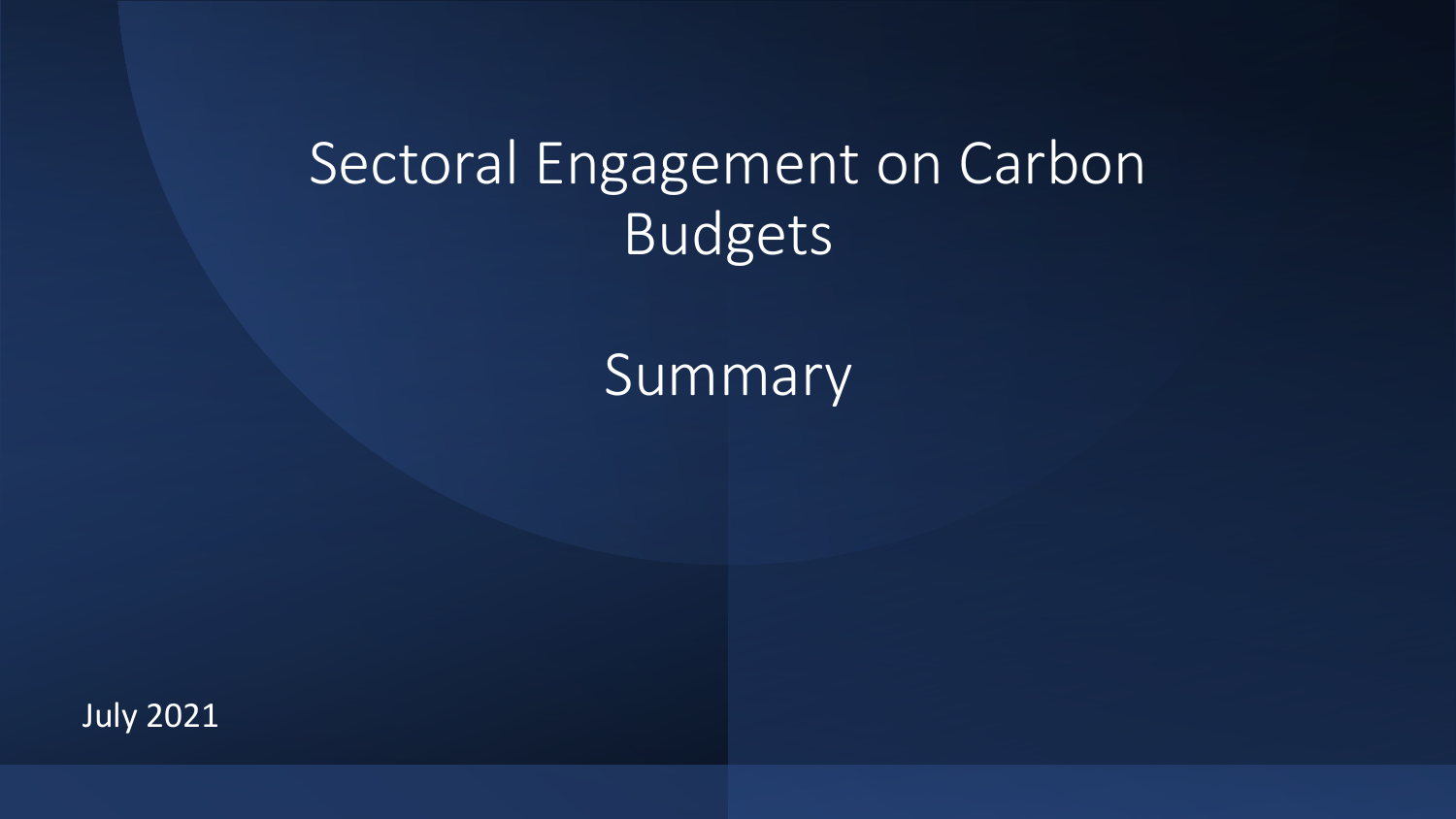#### Sectoral Engagement on Carbon Budgets

Summary

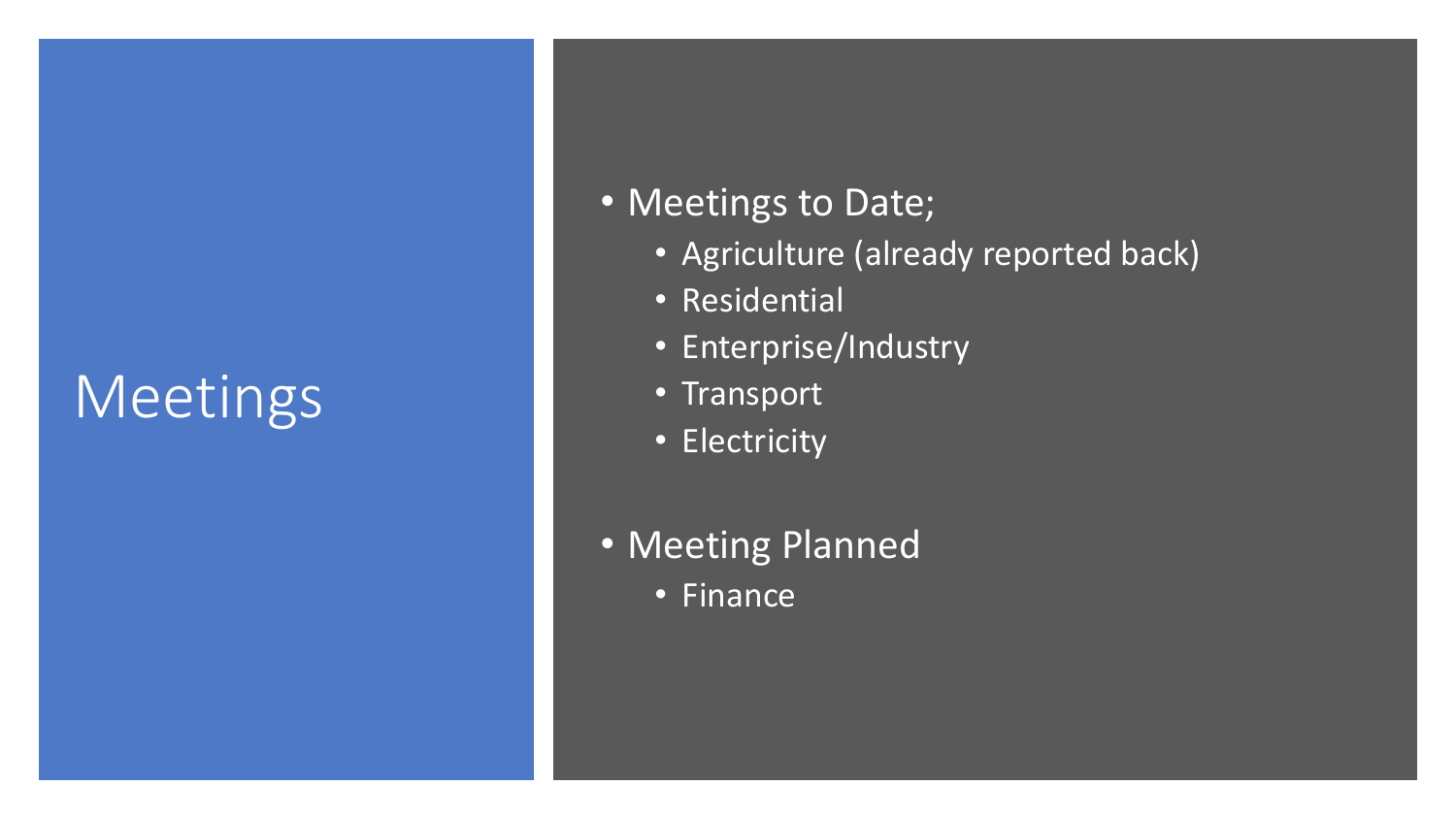## Meetings

#### • Meetings to Date;

- Agriculture (already reported back)
- Residential
- Enterprise/Industry
- Transport
- Electricity
- Meeting Planned
	- Finance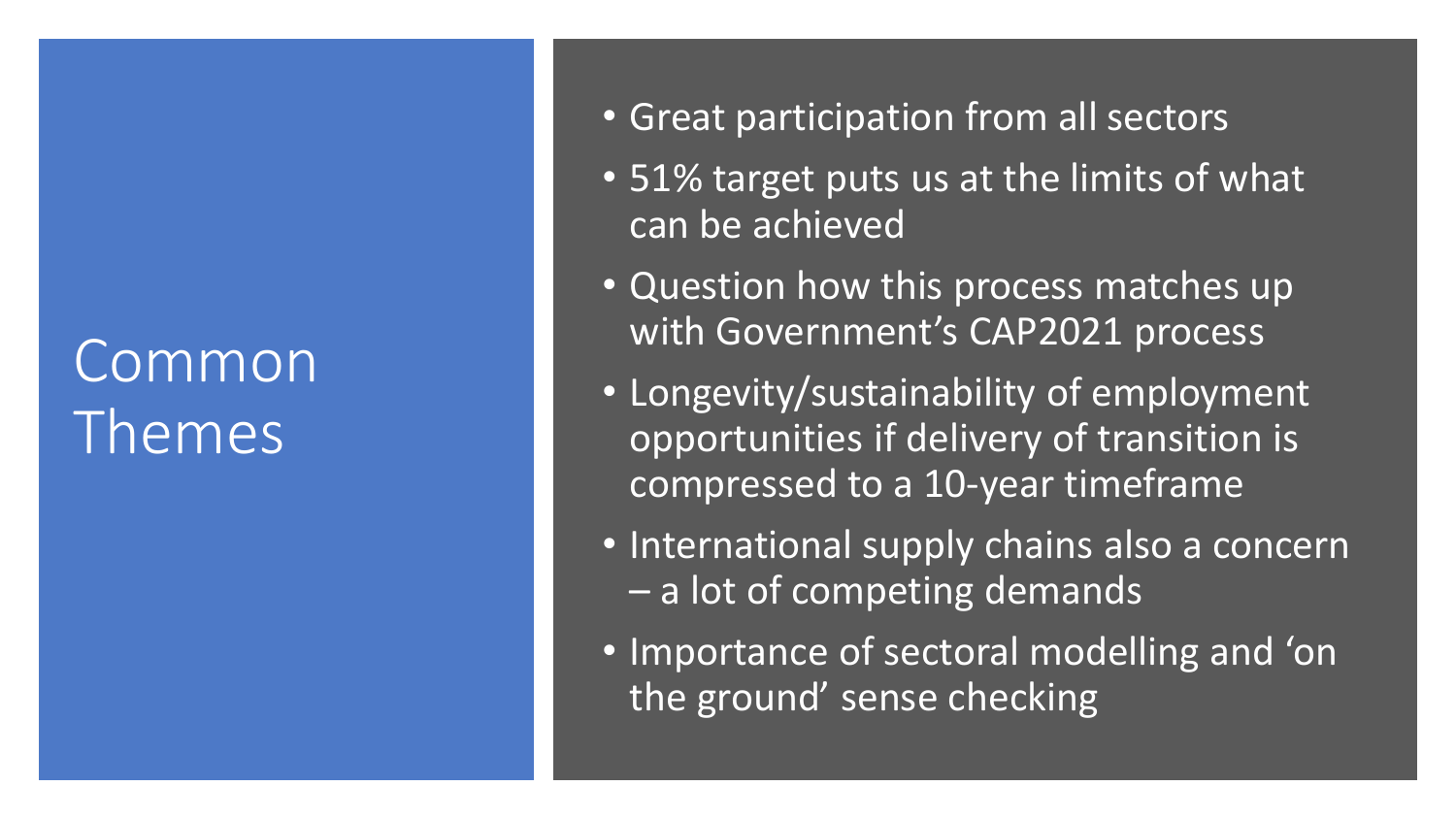## Common Themes

- Great participation from all sectors
- 51% target puts us at the limits of what can be achieved
- Question how this process matches up with Government's CAP2021 process
- Longevity/sustainability of employment opportunities if delivery of transition is compressed to a 10-year timeframe
- International supply chains also a concern – a lot of competing demands
- Importance of sectoral modelling and 'on the ground' sense checking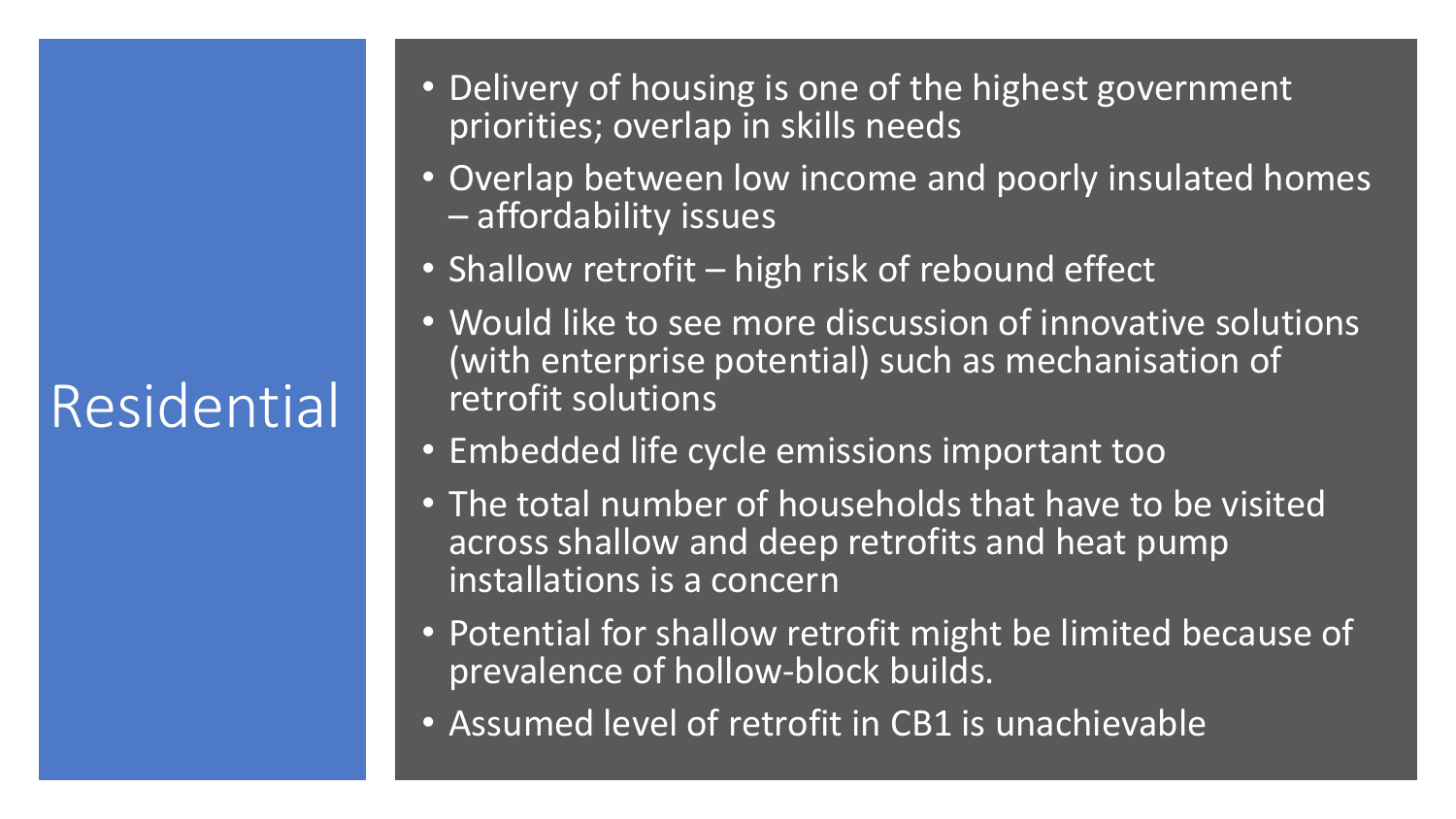# Residential

- Delivery of housing is one of the highest government priorities; overlap in skills needs
- Overlap between low income and poorly insulated homes – affordability issues
- Shallow retrofit high risk of rebound effect
- Would like to see more discussion of innovative solutions (with enterprise potential) such as mechanisation of retrofit solutions
- Embedded life cycle emissions important too
- The total number of households that have to be visited across shallow and deep retrofits and heat pump installations is a concern
- Potential for shallow retrofit might be limited because of prevalence of hollow-block builds.
- Assumed level of retrofit in CB1 is unachievable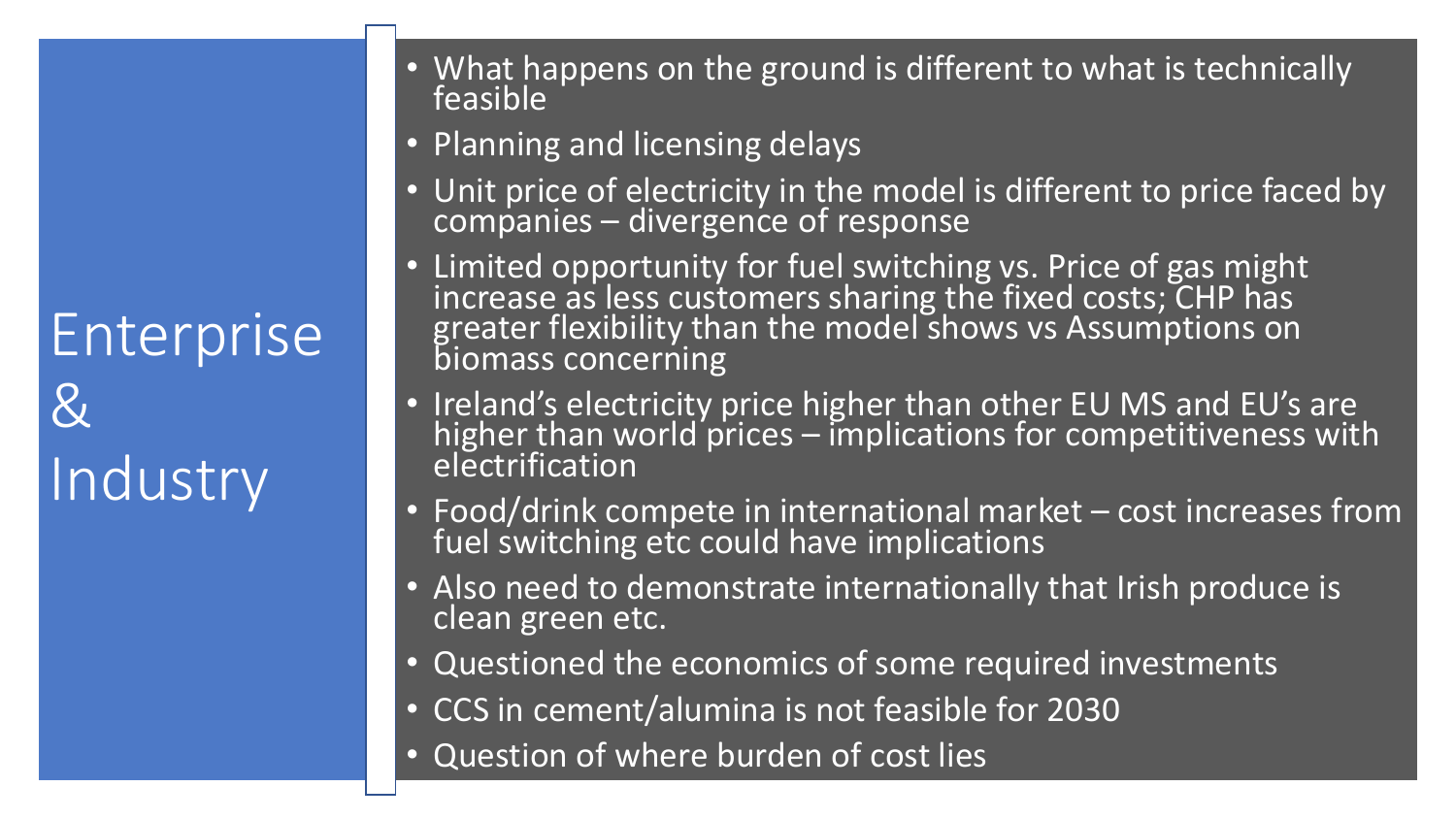Enterprise & Industry

- What happens on the ground is different to what is technically feasible
- Planning and licensing delays
- Unit price of electricity in the model is different to price faced by companies – divergence of response
- Limited opportunity for fuel switching vs. Price of gas might increase as less customers sharing the fixed costs; CHP has greater flexibility than the model shows vs Assumptions on biomass concerning
- Ireland's electricity price higher than other EU MS and EU's are higher than world prices  $-$  implications for competitiveness with electrification
- Food/drink compete in international market cost increases from fuel switching etc could have implications
- Also need to demonstrate internationally that Irish produce is clean green etc.
- Questioned the economics of some required investments
- CCS in cement/alumina is not feasible for 2030
- Question of where burden of cost lies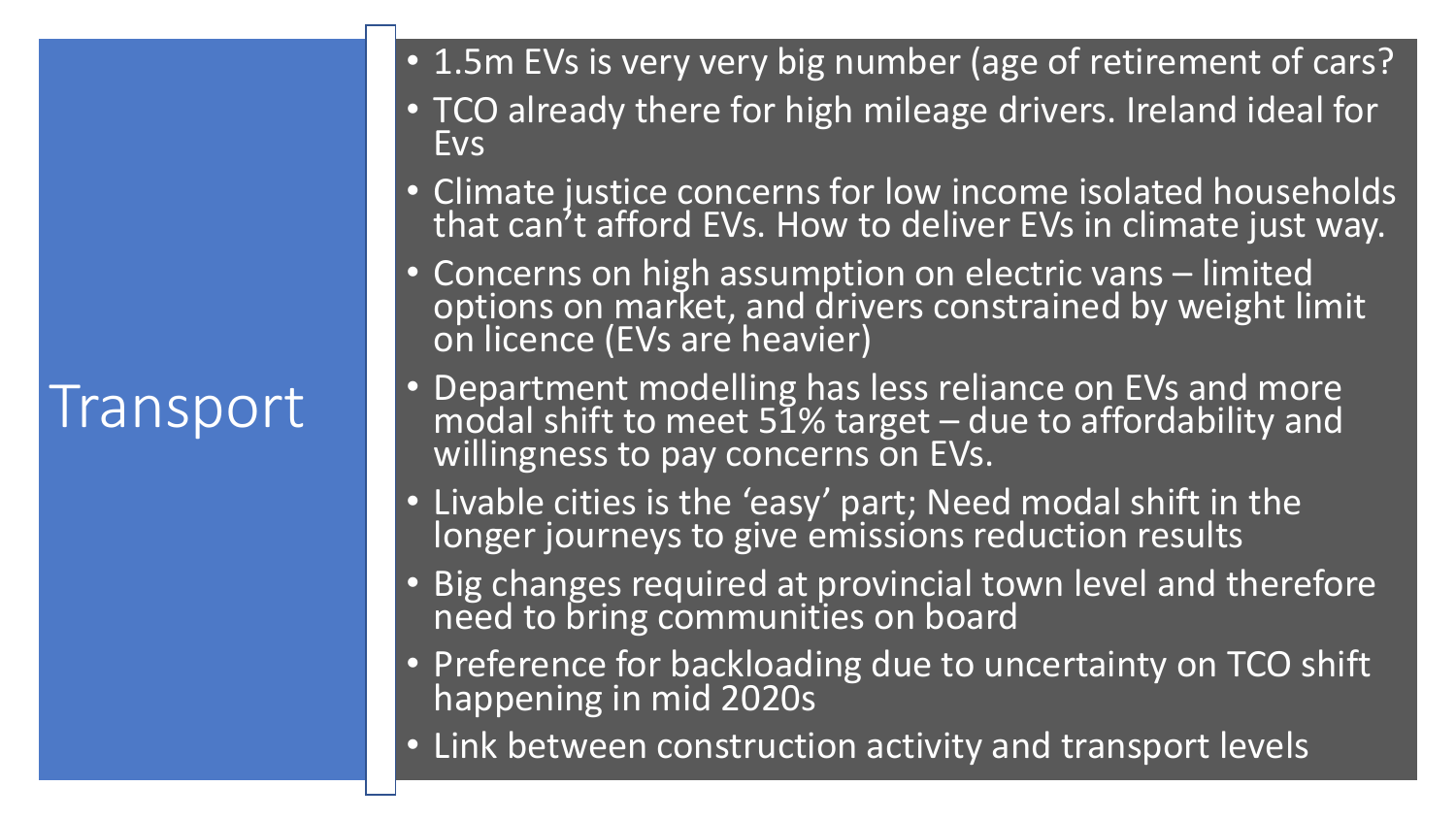## **Transport**

- 1.5m EVs is very very big number (age of retirement of cars?
- TCO already there for high mileage drivers. Ireland ideal for Evs
- Climate justice concerns for low income isolated households that can<sup>7</sup>t afford EVs. How to deliver EVs in climate just way.
- Concerns on high assumption on electric vans limited options on market, and drivers constrained by weight limit on licence (EVs are heavier)
- Department modelling has less reliance on EVs and more modal shift to meet 51% target  $-$  due to affordability and willingness to pay concerns on EVs.
- Livable cities is the 'easy' part; Need modal shift in the longer journeys to give emissions reduction results
- Big changes required at provincial town level and therefore need to bring communities on board
- Preference for backloading due to uncertainty on TCO shift happening in mid 2020s
- Link between construction activity and transport levels